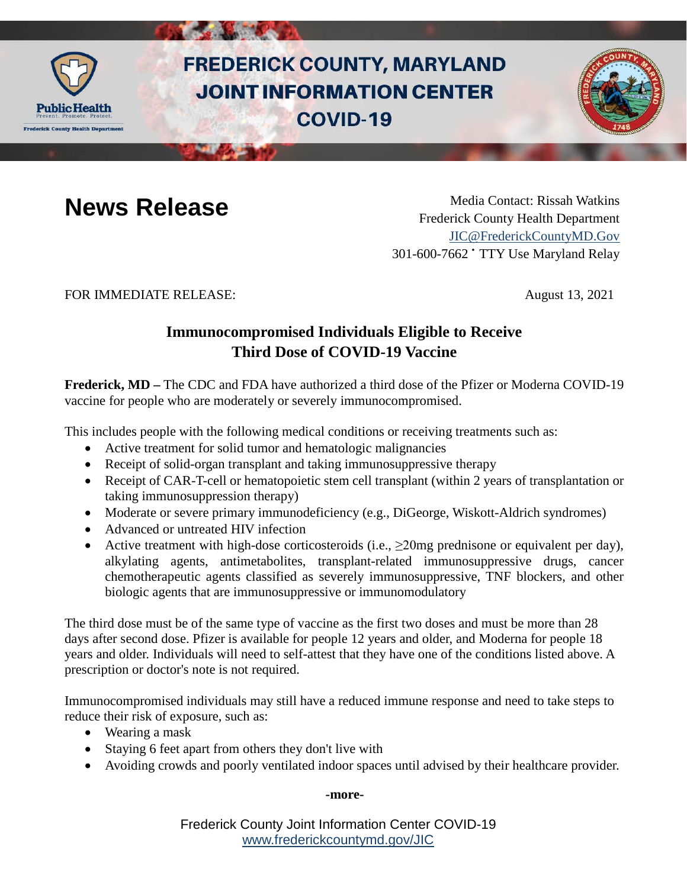

# **FREDERICK COUNTY, MARYLAND JOINT INFORMATION CENTER COVID-19**



**News Release** Media Contact: Rissah Watkins Frederick County Health Department [JIC@FrederickCountyMD.Gov](mailto:JIC@FrederickCountyMD.Gov) 301-600-7662 • TTY Use Maryland Relay

FOR IMMEDIATE RELEASE: August 13, 2021

# **Immunocompromised Individuals Eligible to Receive Third Dose of COVID-19 Vaccine**

**Frederick, MD –** The CDC and FDA have authorized a third dose of the Pfizer or Moderna COVID-19 vaccine for people who are moderately or severely immunocompromised.

This includes people with the following medical conditions or receiving treatments such as:

- Active treatment for solid tumor and hematologic malignancies
- Receipt of solid-organ transplant and taking immunosuppressive therapy
- Receipt of CAR-T-cell or hematopoietic stem cell transplant (within 2 years of transplantation or taking immunosuppression therapy)
- Moderate or severe primary immunodeficiency (e.g., DiGeorge, Wiskott-Aldrich syndromes)
- Advanced or untreated HIV infection
- Active treatment with high-dose corticosteroids (i.e.,  $\geq$ 20mg prednisone or equivalent per day), alkylating agents, antimetabolites, transplant-related immunosuppressive drugs, cancer chemotherapeutic agents classified as severely immunosuppressive, TNF blockers, and other biologic agents that are immunosuppressive or immunomodulatory

The third dose must be of the same type of vaccine as the first two doses and must be more than 28 days after second dose. Pfizer is available for people 12 years and older, and Moderna for people 18 years and older. Individuals will need to self-attest that they have one of the conditions listed above. A prescription or doctor's note is not required.

Immunocompromised individuals may still have a reduced immune response and need to take steps to reduce their risk of exposure, such as:

- Wearing a mask
- Staying 6 feet apart from others they don't live with
- Avoiding crowds and poorly ventilated indoor spaces until advised by their healthcare provider.

### **-more-**

Frederick County Joint Information Center COVID-19 [www.frederickcountymd.gov/JIC](https://frederickcountymd.gov/JIC)